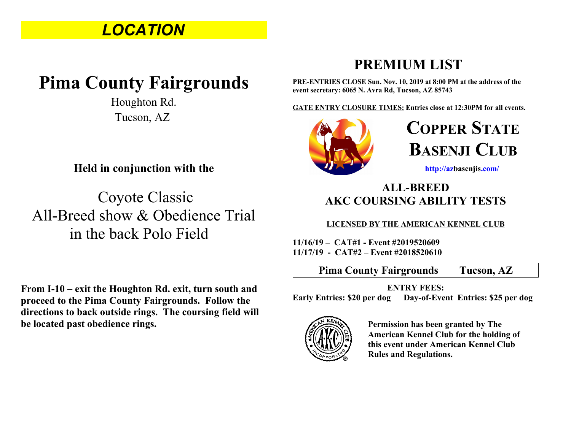# *LOCATION*

# **Pima County Fairgrounds**

Houghton Rd. Tucson, AZ

## **Held in conjunction with the**

Coyote Classic All-Breed show & Obedience Trial in the back Polo Field

**From I-10 – exit the Houghton Rd. exit, turn south and proceed to the Pima County Fairgrounds. Follow the directions to back outside rings. The coursing field will be located past obedience rings.** 

# **PREMIUM LIST**

**PRE-ENTRIES CLOSE Sun. Nov. 10, 2019 at 8:00 PM at the address of the event secretary: 6065 N. Avra Rd, Tucson, AZ 85743**

**GATE ENTRY CLOSURE TIMES: Entries close at 12:30PM for all events.** 



**COPPER STATE BASENJI CLUB**

**[http://azb](http://az/)asenji[s.com/](http://newmexico-sighthounds.jigsy.com/)**

## **ALL-BREED AKC COURSING ABILITY TESTS**

**LICENSED BY THE AMERICAN KENNEL CLUB**

**11/16/19 – CAT#1 - Event #2019520609 11/17/19 - CAT#2 – Event #2018520610**

**Pima County Fairgrounds Tucson, AZ**

**ENTRY FEES:**<br>**Early Entries: \$20 per dog Day-of-Eve Early Entries: \$20 per dog Day-of-Event Entries: \$25 per dog**



**Permission has been granted by The American Kennel Club for the holding of this event under American Kennel Club Rules and Regulations.**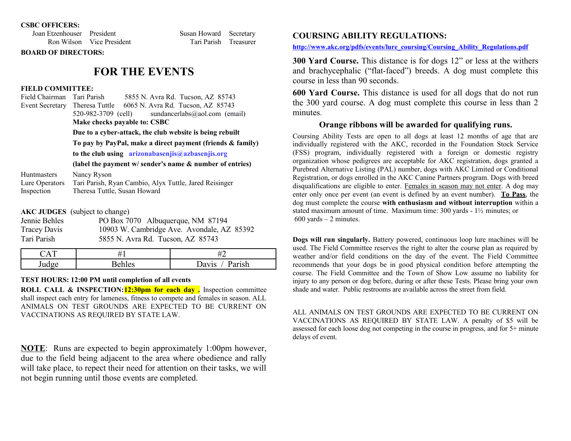### **CSBC OFFICERS:**

Joan Etzenhouser President Susan Howard Secretary Ron Wilson Vice President Tari Parish Treasurer

**BOARD OF DIRECTORS:** 

## **FOR THE EVENTS**

### **FIELD COMMITTEE:**

| Field Chairman                                                | Tari Parish<br>5855 N. Avra Rd. Tucson, AZ 85743           |  |  |  |  |
|---------------------------------------------------------------|------------------------------------------------------------|--|--|--|--|
| Event Secretary                                               | Theresa Tuttle<br>6065 N. Avra Rd. Tucson, AZ 85743        |  |  |  |  |
|                                                               | 520-982-3709 (cell)<br>sundancerlabs@aol.com (email)       |  |  |  |  |
|                                                               | Make checks payable to: CSBC                               |  |  |  |  |
|                                                               | Due to a cyber-attack, the club website is being rebuilt   |  |  |  |  |
|                                                               | To pay by PayPal, make a direct payment (friends & family) |  |  |  |  |
|                                                               | to the club using arizonabasenjis@azbasenjis.org           |  |  |  |  |
| (label the payment $w/$ sender's name $\&$ number of entries) |                                                            |  |  |  |  |
| Huntmasters                                                   | Nancy Ryson                                                |  |  |  |  |
| Lure Operators                                                | Tari Parish, Ryan Cambio, Alyx Tuttle, Jared Reisinger     |  |  |  |  |
| Inspection                                                    | Theresa Tuttle, Susan Howard                               |  |  |  |  |
|                                                               |                                                            |  |  |  |  |

### **AKC JUDGES** (subject to change)

| Jennie Behles       | PO Box 7070 Albuquerque, NM 87194          |  |  |  |
|---------------------|--------------------------------------------|--|--|--|
| <b>Tracey Davis</b> | 10903 W. Cambridge Ave. Avondale, AZ 85392 |  |  |  |
| Tari Parish         | 5855 N. Avra Rd. Tucson, AZ 85743          |  |  |  |

| _ |                                |
|---|--------------------------------|
|   | . en la<br><b>T7101</b><br>10. |

### **TEST HOURS: 12:00 PM until completion of all events**

**ROLL CALL & INSPECTION:12:30pm for each day**. Inspection committee shall inspect each entry for lameness, fitness to compete and females in season. ALL ANIMALS ON TEST GROUNDS ARE EXPECTED TO BE CURRENT ON VACCINATIONS AS REQUIRED BY STATE LAW.

**NOTE**: Runs are expected to begin approximately 1:00pm however, due to the field being adjacent to the area where obedience and rally will take place, to repect their need for attention on their tasks, we will not begin running until those events are completed.

### **COURSING ABILITY REGULATIONS:**

**[http://www.akc.org/pdfs/events/lure\\_coursing/Coursing\\_Ability\\_Regulations.pdf](http://www.akc.org/pdfs/events/lure_coursing/Coursing_Ability_Regulations.pdf)**

**300 Yard Course.** This distance is for dogs 12" or less at the withers and brachycephalic ("flat-faced") breeds. A dog must complete this course in less than 90 seconds.

**600 Yard Course.** This distance is used for all dogs that do not run the 300 yard course. A dog must complete this course in less than 2 minutes.

### **Orange ribbons will be awarded for qualifying runs.**

Coursing Ability Tests are open to all dogs at least 12 months of age that are individually registered with the AKC, recorded in the Foundation Stock Service (FSS) program, individually registered with a foreign or domestic registry organization whose pedigrees are acceptable for AKC registration, dogs granted a Purebred Alternative Listing (PAL) number, dogs with AKC Limited or Conditional Registration, or dogs enrolled in the AKC Canine Partners program. Dogs with breed disqualifications are eligible to enter. Females in season may not enter. A dog may enter only once per event (an event is defined by an event number). **To Pass**, the dog must complete the course **with enthusiasm and without interruption** within a stated maximum amount of time. Maximum time: 300 yards - 1½ minutes; or  $600$  yards  $-2$  minutes.

**Dogs will run singularly.** Battery powered, continuous loop lure machines will be used. The Field Committee reserves the right to alter the course plan as required by weather and/or field conditions on the day of the event. The Field Committee recommends that your dogs be in good physical condition before attempting the course. The Field Committee and the Town of Show Low assume no liability for injury to any person or dog before, during or after these Tests. Please bring your own shade and water. Public restrooms are available across the street from field.

ALL ANIMALS ON TEST GROUNDS ARE EXPECTED TO BE CURRENT ON VACCINATIONS AS REQUIRED BY STATE LAW. A penalty of \$5 will be assessed for each loose dog not competing in the course in progress, and for 5+ minute delays of event.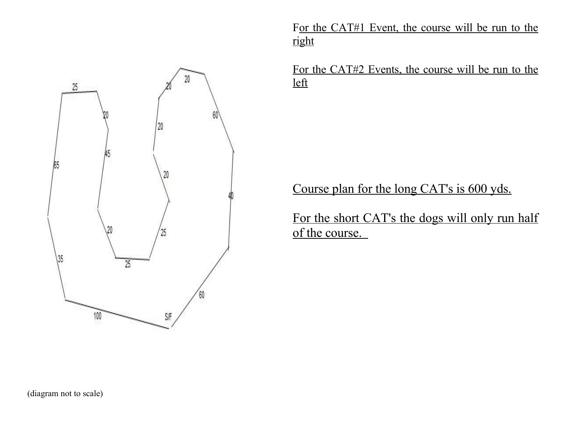For the CAT#1 Event, the course will be run to the right

For the CAT#2 Events, the course will be run to the left

Course plan for the long CAT's is 600 yds.

For the short CAT's the dogs will only run half of the course.



(diagram not to scale)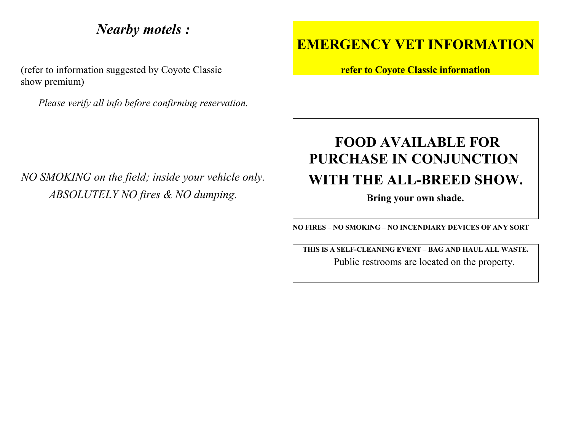# *Nearby motels :*

(refer to information suggested by Coyote Classic show premium)

*Please verify all info before confirming reservation.*

# **EMERGENCY VET INFORMATION**

**refer to Coyote Classic information**

# **FOOD AVAILABLE FOR PURCHASE IN CONJUNCTION WITH THE ALL-BREED SHOW.**

 **Bring your own shade.**

**NO FIRES – NO SMOKING – NO INCENDIARY DEVICES OF ANY SORT**

**THIS IS A SELF-CLEANING EVENT – BAG AND HAUL ALL WASTE.** Public restrooms are located on the property.

*NO SMOKING on the field; inside your vehicle only. ABSOLUTELY NO fires & NO dumping.*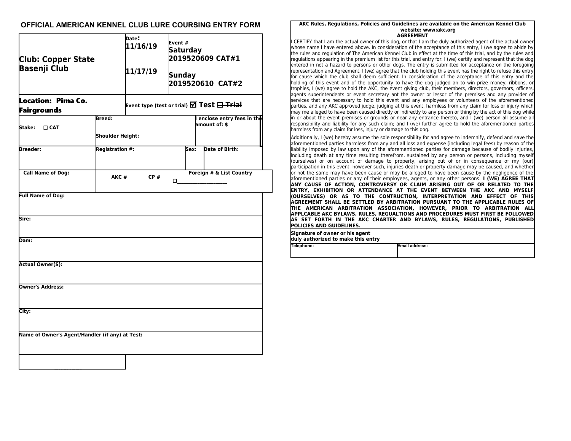### **OFFICIAL AMERICAN KENNEL CLUB LURE COURSING ENTRY FORM**

| <b>Club: Copper State</b><br><b>Basenji Club</b> |                                   | Date:<br>11/16/19<br> 11/17/19                                | Event#<br>Saturday<br>2019520609 CAT#1<br><b>Sunday</b><br>2019520610 CAT#2 |  |                                                    |
|--------------------------------------------------|-----------------------------------|---------------------------------------------------------------|-----------------------------------------------------------------------------|--|----------------------------------------------------|
| Location: Pima Co.<br>Fairgrounds                |                                   | Event type (test or trial) $\boxtimes$ Test $\boxminus$ Trial |                                                                             |  |                                                    |
| Stake:<br>$\Box$ CAT                             | <b>Breed:</b><br>Shoulder Height: |                                                               |                                                                             |  | $\vert$ enclose entry fees in the<br>amount of: \$ |
| <b>Breeder:</b>                                  | <b>Registration #:</b>            |                                                               | lSex:                                                                       |  | Date of Birth:                                     |
| <b>Call Name of Dog:</b>                         | AKC#                              | CP#                                                           | $\Box$                                                                      |  | Foreign # & List Country                           |
| <b>Full Name of Dog:</b>                         |                                   |                                                               |                                                                             |  |                                                    |
| Sire:                                            |                                   |                                                               |                                                                             |  |                                                    |
| Dam:                                             |                                   |                                                               |                                                                             |  |                                                    |
| <b>Actual Owner(S):</b>                          |                                   |                                                               |                                                                             |  |                                                    |
| <b>Owner's Address:</b>                          |                                   |                                                               |                                                                             |  |                                                    |
| City:                                            |                                   |                                                               |                                                                             |  |                                                    |
| Name of Owner's Agent/Handler (if any) at Test:  |                                   |                                                               |                                                                             |  |                                                    |

**Entries.**

#### **AKC Rules, Regulations, Policies and Guidelines are available on the American Kennel Club website: www:akc.org AGREEMENT**

CERTIFY that I am the actual owner of this dog, or that I am the duly authorized agent of the actual owner whose name I have entered above. In consideration of the acceptance of this entry, I (we agree to abide by the rules and regulation of The American Kennel Club in effect at the time of this trial, and by the rules and regulations appearing in the premium list for this trial, and entry for. I (we) certify and represent that the dog entered in not a hazard to persons or other dogs. The entry is submitted for acceptance on the foregoing representation and Agreement. I (we) agree that the club holding this event has the right to refuse this entry for cause which the club shall deem sufficient. In consideration of the acceptance of this entry and the holding of this event and of the opportunity to have the dog judged an to win prize money, ribbons, or trophies, I (we) agree to hold the AKC, the event giving club, their members, directors, governors, officers, agents superintendents or event secretary ant the owner or lessor of the premises and any provider of services that are necessary to hold this event and any employees or volunteers of the aforementioned parties, and any AKC approved judge, judging at this event, harmless from any claim for loss or injury which may me alleged to have been caused directly or indirectly to any person or thing by the act of this dog while in or about the event premises or grounds or near any entrance thereto, and I (we) person all assume all responsibility and liability for any such claim; and I (we) further agree to hold the aforementioned parties harmless from any claim for loss, injury or damage to this dog.

Additionally, I (we) hereby assume the sole responsibility for and agree to indemnify, defend and save the aforementioned parties harmless from any and all loss and expense (including legal fees) by reason of the liability imposed by law upon any of the aforementioned parties for damage because of bodily injuries, including death at any time resulting therefrom, sustained by any person or persons, including myself (ourselves) or on account of damage to property, arising out of or in consequence of my (our) participation in this event, however such, injuries death or property damage may be caused, and whether or not the same may have been cause or may be alleged to have been cause by the negligence of the aforementioned parties or any of their employees, agents, or any other persons. **I (WE) AGREE THAT ANY CAUSE OF ACTION, CONTROVERSY OR CLAIM ARISING OUT OF OR RELATED TO THE ENTRY, EXHIBITION OR ATTENDANCE AT THE EVENT BETWEEN THE AKC AND MYSELF (OURSELVES) OR AS TO THE CONTRUCTION, INTERPRETATION AND EFFECT OF THIS AGREEMENT SHALL BE SETTLED BY ARBITRATION PURSUANT TO THE APPLICABLE RULES OF THE AMERICAN ARBITRATION ASSOCIATION, HOWEVER, PRIOR TO ARBITRATION ALL APPLCABLE AKC BYLAWS, RULES, REGUALTIONS AND PROCEDURES MUST FIRST BE FOLLOWED AS SET FORTH IN THE AKC CHARTER AND BYLAWS, RULES, REGULATIONS, PUBLISHED POLICIES AND GUIDELINES.**

**Signature of owner or his agent duly authorized to make this entry \_\_\_\_\_\_\_\_\_\_\_\_\_\_\_\_\_\_\_\_\_\_\_\_\_\_\_\_\_\_\_\_\_\_\_\_\_\_\_\_\_\_\_\_\_\_\_\_\_\_\_\_\_\_\_\_\_\_\_\_\_\_\_\_\_\_\_\_\_\_\_ Telephone: Email address:**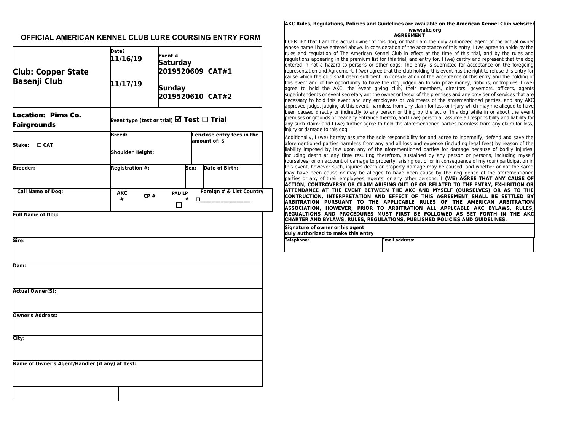### **OFFICIAL AMERICAN KENNEL CLUB LURE COURSING ENTRY FORM**

| <b>Club: Copper State</b><br><b>Basenji Club</b> | Date:<br>11/16/19<br>11/17/19     | Event #<br><b>Saturday</b><br>2019520609 CAT#1<br><b>Sunday</b><br>2019520610 CAT#2 |  |  |  |
|--------------------------------------------------|-----------------------------------|-------------------------------------------------------------------------------------|--|--|--|
| Location: Pima Co.<br>Fairgrounds                |                                   | Event type (test or trial) $\boxtimes$ Test $\boxminus$ Trial                       |  |  |  |
| lStake: □ CAT                                    | <b>Breed:</b><br>Shoulder Height: | enclose entry fees in the<br>amount of: \$                                          |  |  |  |
| <b>Breeder:</b>                                  | <b>Registration #:</b>            | Date of Birth:<br>lSex:                                                             |  |  |  |
| <b>Call Name of Dog:</b>                         | <b>AKC</b><br>CP#<br>#            | Foreign # & List Country<br>PAL/ILP<br>#<br>$\Box$<br>п                             |  |  |  |
| <b>Full Name of Dog:</b>                         |                                   |                                                                                     |  |  |  |
| Sire:                                            |                                   |                                                                                     |  |  |  |
| Dam:                                             |                                   |                                                                                     |  |  |  |
| <b>Actual Owner(S):</b>                          |                                   |                                                                                     |  |  |  |
| <b>Owner's Address:</b>                          |                                   |                                                                                     |  |  |  |
| City:                                            |                                   |                                                                                     |  |  |  |
| Name of Owner's Agent/Handler (if any) at Test:  |                                   |                                                                                     |  |  |  |
|                                                  |                                   |                                                                                     |  |  |  |

**Entries.**

#### **AKC Rules, Regulations, Policies and Guidelines are available on the American Kennel Club website: www:akc.org AGREEMENT**

CERTIFY that I am the actual owner of this dog, or that I am the duly authorized agent of the actual owner whose name I have entered above. In consideration of the acceptance of this entry, I (we agree to abide by the rules and regulation of The American Kennel Club in effect at the time of this trial, and by the rules and regulations appearing in the premium list for this trial, and entry for. I (we) certify and represent that the dog entered in not a hazard to persons or other dogs. The entry is submitted for acceptance on the foregoing representation and Agreement. I (we) agree that the club holding this event has the right to refuse this entry for cause which the club shall deem sufficient. In consideration of the acceptance of this entry and the holding of this event and of the opportunity to have the dog judged an to win prize money, ribbons, or trophies, I (we) agree to hold the AKC, the event giving club, their members, directors, governors, officers, agents superintendents or event secretary ant the owner or lessor of the premises and any provider of services that are necessary to hold this event and any employees or volunteers of the aforementioned parties, and any AKC approved judge, judging at this event, harmless from any claim for loss or injury which may me alleged to have been caused directly or indirectly to any person or thing by the act of this dog while in or about the event premises or grounds or near any entrance thereto, and I (we) person all assume all responsibility and liability for any such claim; and I (we) further agree to hold the aforementioned parties harmless from any claim for loss, injury or damage to this dog.

Additionally, I (we) hereby assume the sole responsibility for and agree to indemnify, defend and save the aforementioned parties harmless from any and all loss and expense (including legal fees) by reason of the liability imposed by law upon any of the aforementioned parties for damage because of bodily injuries, including death at any time resulting therefrom, sustained by any person or persons, including myself (ourselves) or on account of damage to property, arising out of or in consequence of my (our) participation in this event, however such, injuries death or property damage may be caused, and whether or not the same may have been cause or may be alleged to have been cause by the negligence of the aforementioned parties or any of their employees, agents, or any other persons. **I (WE) AGREE THAT ANY CAUSE OF ACTION, CONTROVERSY OR CLAIM ARISING OUT OF OR RELATED TO THE ENTRY, EXHIBITION OR ATTENDANCE AT THE EVENT BETWEEN THE AKC AND MYSELF (OURSELVES) OR AS TO THE CONTRUCTION, INTERPRETATION AND EFFECT OF THIS AGREEMENT SHALL BE SETTLED BY ARBITRATION PURSUANT TO THE APPLICABLE RULES OF THE AMERICAN ARBITRATION ASSOCIATION, HOWEVER, PRIOR TO ARBITRATION ALL APPLCABLE AKC BYLAWS, RULES, REGUALTIONS AND PROCEDURES MUST FIRST BE FOLLOWED AS SET FORTH IN THE AKC CHARTER AND BYLAWS, RULES, REGULATIONS, PUBLISHED POLICIES AND GUIDELINES.**

| Signature of owner or his agent<br>duly authorized to make this entry |                       |  |
|-----------------------------------------------------------------------|-----------------------|--|
| Telephone:                                                            | <b>Email address:</b> |  |